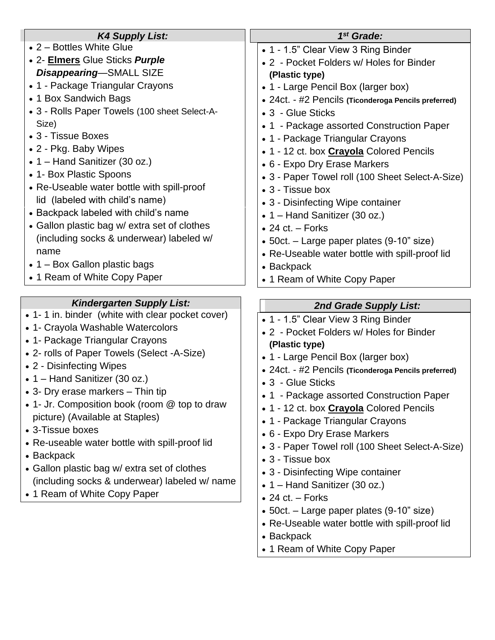| <b>K4 Supply List:</b>                           | $1st$ Grade:                                         |
|--------------------------------------------------|------------------------------------------------------|
| • 2 – Bottles White Glue                         | • 1 - 1.5" Clear View 3 Ring Binder                  |
| • 2- Elmers Glue Sticks Purple                   | • 2 - Pocket Folders w/ Holes for Binder             |
| Disappearing-SMALL SIZE                          | (Plastic type)                                       |
| • 1 - Package Triangular Crayons                 | • 1 - Large Pencil Box (larger box)                  |
| • 1 Box Sandwich Bags                            | • 24ct. - #2 Pencils (Ticonderoga Pencils preferred) |
| • 3 - Rolls Paper Towels (100 sheet Select-A-    | • 3 - Glue Sticks                                    |
| Size)                                            | • 1 - Package assorted Construction Paper            |
| • 3 - Tissue Boxes                               | • 1 - Package Triangular Crayons                     |
| • 2 - Pkg. Baby Wipes                            | • 1 - 12 ct. box <b>Crayola</b> Colored Pencils      |
| $\bullet$ 1 – Hand Sanitizer (30 oz.)            | • 6 - Expo Dry Erase Markers                         |
| • 1- Box Plastic Spoons                          | • 3 - Paper Towel roll (100 Sheet Select-A-Size)     |
| • Re-Useable water bottle with spill-proof       | • 3 - Tissue box                                     |
| lid (labeled with child's name)                  | • 3 - Disinfecting Wipe container                    |
| • Backpack labeled with child's name             | • 1 – Hand Sanitizer (30 oz.)                        |
| • Gallon plastic bag w/ extra set of clothes     | $\bullet$ 24 ct. – Forks                             |
| (including socks & underwear) labeled w/         | • 50ct. – Large paper plates (9-10" size)            |
| name                                             | • Re-Useable water bottle with spill-proof lid       |
| $\bullet$ 1 – Box Gallon plastic bags            | • Backpack                                           |
| • 1 Ream of White Copy Paper                     | • 1 Ream of White Copy Paper                         |
|                                                  |                                                      |
|                                                  |                                                      |
| <b>Kindergarten Supply List:</b>                 | 2nd Grade Supply List:                               |
| • 1-1 in. binder (white with clear pocket cover) | • 1 - 1.5" Clear View 3 Ring Binder                  |
| • 1- Crayola Washable Watercolors                | • 2 - Pocket Folders w/ Holes for Binder             |
| • 1- Package Triangular Crayons                  | (Plastic type)                                       |
| • 2- rolls of Paper Towels (Select -A-Size)      | • 1 - Large Pencil Box (larger box)                  |
| • 2 - Disinfecting Wipes                         | • 24ct. - #2 Pencils (Ticonderoga Pencils preferred) |
| • 1 – Hand Sanitizer (30 oz.)                    | • 3 - Glue Sticks                                    |
| • 3- Dry erase markers – Thin tip                | • 1 - Package assorted Construction Paper            |
| • 1- Jr. Composition book (room @ top to draw    | • 1 - 12 ct. box <b>Crayola</b> Colored Pencils      |
| picture) (Available at Staples)                  | • 1 - Package Triangular Crayons                     |
| • 3-Tissue boxes                                 | • 6 - Expo Dry Erase Markers                         |
| • Re-useable water bottle with spill-proof lid   | • 3 - Paper Towel roll (100 Sheet Select-A-Size)     |
| • Backpack                                       | • 3 - Tissue box                                     |
| • Gallon plastic bag w/ extra set of clothes     | • 3 - Disinfecting Wipe container                    |
| (including socks & underwear) labeled w/ name    | • $1 -$ Hand Sanitizer (30 oz.)                      |
| • 1 Ream of White Copy Paper                     | $\bullet$ 24 ct. – Forks                             |
|                                                  | • 50ct. – Large paper plates (9-10" size)            |
|                                                  | • Re-Useable water bottle with spill-proof lid       |
|                                                  | • Backpack                                           |
|                                                  | • 1 Ream of White Copy Paper                         |